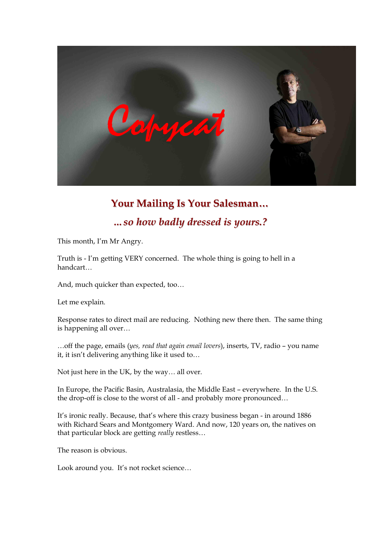

# **Your Mailing Is Your Salesman...** *m* so how badly dressed is yours.?

This month, I'm Mr Angry.

Truth is - I'm getting VERY concerned. The whole thing is going to hell in a handcart…

And, much quicker than expected, too…

Let me explain.

Response rates to direct mail are reducing. Nothing new there then. The same thing is happening all over… …off the page, emails (*yes, read that again email lovers*), inserts, TV, radio – you name

it, it isn't delivering anything like it used to…

Not just here in the UK, by the way… all over.

In Europe, the Pacific Basin, Australasia, the Middle East – everywhere. In the U.S. the drop-off is close to the worst of all - and probably more pronounced...

It's ironic really. Because, that's where this crazy business began - in around 1886 with Richard Sears and Montgomery Ward. And now, 120 years on, the natives on that particular block are getting *really* restless…

The reason is obvious.

Look around you. It's not rocket science…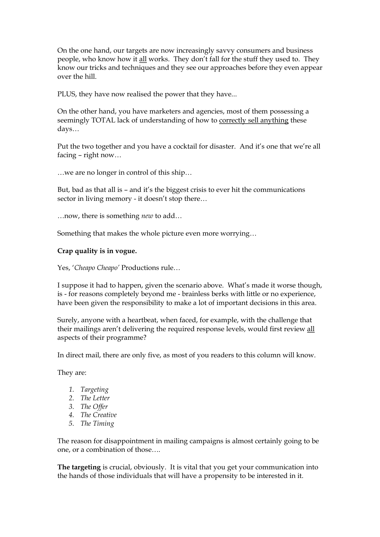On the one hand, our targets are now increasingly savvy consumers and business people, who know how it all works. They don't fall for the stuff they used to. They know our tricks and techniques and they see our approaches before they even appear over the hill.

PLUS, they have now realised the power that they have...

On the other hand, you have marketers and agencies, most of them possessing a seemingly TOTAL lack of understanding of how to correctly sell anything these days…

Put the two together and you have a cocktail for disaster. And it's one that we're all

facing – right now...<br>…we are no longer in control of this ship…

But, bad as that all is – and it's the biggest crisis to ever hit the communications sector in living memory - it doesn't stop there...<br>…now, there is something *new* to add…

Something that makes the whole picture even more worrying…

#### **Crap quality is in vogue.**

Yes, '*Cheapo Cheapo'* Productions rule…

I suppose it had to happen, given the scenario above. What's made it worse though, is - for reasons completely beyond me - brainless berks with little or no experience, have been given the responsibility to make a lot of important decisions in this area.

Surely, anyone with a heartbeat, when faced, for example, with the challenge that their mailings aren't delivering the required response levels, would first review all aspects of their programme?

In direct mail, there are only five, as most of you readers to this column will know.

They are:

- *1. Targeting*
- *2. The Letter*
- *3. The Offer*
- *4. The Creative*
- *5. The Timing*

The reason for disappointment in mailing campaigns is almost certainly going to be one, or a combination of those….

**The targeting** is crucial, obviously. It is vital that you get your communication into the hands of those individuals that will have a propensity to be interested in it.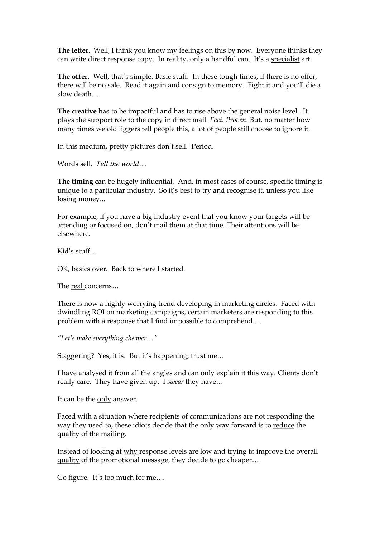**The letter**. Well, I think you know my feelings on this by now. Everyone thinks they can write direct response copy. In reality, only a handful can. It's a specialist art.

**The offer**. Well, that's simple. Basic stuff. In these tough times, if there is no offer, there will be no sale. Read it again and consign to memory. Fight it and you'll die a slow death…

**The creative** has to be impactful and has to rise above the general noise level. It plays the support role to the copy in direct mail. *Fact. Proven*. But, no matter how many times we old liggers tell people this, a lot of people still choose to ignore it.

In this medium, pretty pictures don't sell. Period.

Words sell. *Tell the world*…

**The timing** can be hugely influential. And, in most cases of course, specific timing is unique to a particular industry. So it's best to try and recognise it, unless you like losing money...

For example, if you have a big industry event that you know your targets will be attending or focused on, don't mail them at that time. Their attentions will be elsewhere.

Kid's stuff…

OK, basics over. Back to where I started.

The real concerns…

There is now a highly worrying trend developing in marketing circles. Faced with dwindling ROI on marketing campaigns, certain marketers are responding to this problem with a response that I find impossible to comprehend …

*"Let's make everything cheaper…"*

Staggering? Yes, it is. But it's happening, trust me…

I have analysed it from all the angles and can only explain it this way. Clients don't really care. They have given up. I *swear* they have…

It can be the only answer.

Faced with a situation where recipients of communications are not responding the way they used to, these idiots decide that the only way forward is to reduce the quality of the mailing.

Instead of looking at why response levels are low and trying to improve the overall quality of the promotional message, they decide to go cheaper…

Go figure. It's too much for me….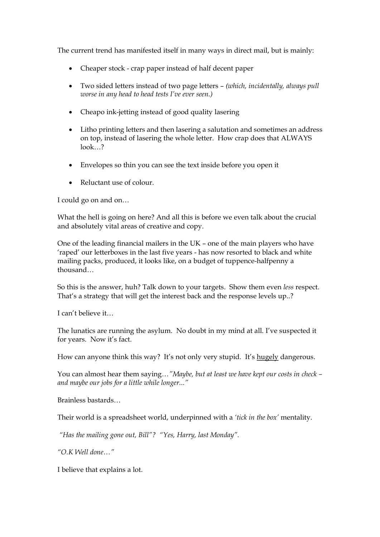The current trend has manifested itself in many ways in direct mail, but is mainly:

- Cheaper stock crap paper instead of half decent paper
- · Two sided letters instead of two page letters *(which, incidentally, always pull worse in any head to head tests I've ever seen.)*
- Cheapo ink-jetting instead of good quality lasering
- · Litho printing letters and then lasering a salutation and sometimes an address on top, instead of lasering the whole letter. How crap does that ALWAYS look…?
- · Envelopes so thin you can see the text inside before you open it
- Reluctant use of colour.

I could go on and on…

What the hell is going on here? And all this is before we even talk about the crucial and absolutely vital areas of creative and copy.

One of the leading financial mailers in the UK – one of the main players who have 'raped' our letterboxes in the last five years - has now resorted to black and white mailing packs, produced, it looks like, on a budget of tuppence-halfpenny a thousand…

So this is the answer, huh? Talk down to your targets. Show them even *less* respect. That's a strategy that will get the interest back and the response levels up..?

I can't believe it…

The lunatics are running the asylum. No doubt in my mind at all. I've suspected it for years. Now it's fact.

How can anyone think this way? It's not only very stupid. It's hugely dangerous.

You can almost hear them saying*…"Maybe, but at least we have kept our costs in check – and maybe our jobs for a little while longer..."*

Brainless bastards…

Their world is a spreadsheet world, underpinned with a *'tick in the box'* mentality.

*"Has the mailing gone out, Bill"? "Yes, Harry, last Monday".*

*"O.K Well done…"*

I believe that explains a lot.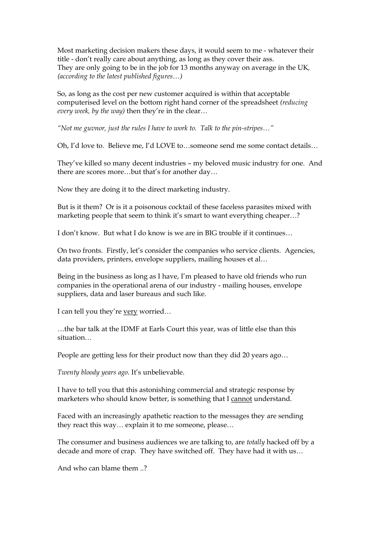Most marketing decision makers these days, it would seem to me - whatever their title - don't really care about anything, as long as they cover their ass. They are only going to be in the job for 13 months anyway on average in the UK*, (according to the latest published figures…)*

So, as long as the cost per new customer acquired is within that acceptable computerised level on the bottom right hand corner of the spreadsheet *(reducing every week, by the way)* then they're in the clear…

"Not me guvnor, just the rules I have to work to. Talk to the pin-stripes..."

Oh, I'd love to. Believe me, I'd LOVE to…someone send me some contact details…

They've killed so many decent industries – my beloved music industry for one. And there are scores more...but that's for another day...<br>Now they are doing it to the direct marketing industry.

But is it them? Or is it a poisonous cocktail of these faceless parasites mixed with marketing people that seem to think it's smart to want everything cheaper…?

I don't know. But what I do know is we are in BIG trouble if it continues…

On two fronts. Firstly, let's consider the companies who service clients. Agencies, data providers, printers, envelope suppliers, mailing houses et al…

Being in the business as long as I have, I'm pleased to have old friends who run companies in the operational arena of our industry - mailing houses, envelope suppliers, data and laser bureaus and such like.

I can tell you they're <u>very</u> worried...<br>…the bar talk at the IDMF at Earls Court this year, was of little else than this situation…

People are getting less for their product now than they did 20 years ago…

*Twenty bloody years ago*. It's unbelievable.

I have to tell you that this astonishing commercial and strategic response by marketers who should know better, is something that I cannot understand.

Faced with an increasingly apathetic reaction to the messages they are sending they react this way… explain it to me someone, please…

The consumer and business audiences we are talking to, are *totally* hacked off by a decade and more of crap. They have switched off. They have had it with us…

And who can blame them ..?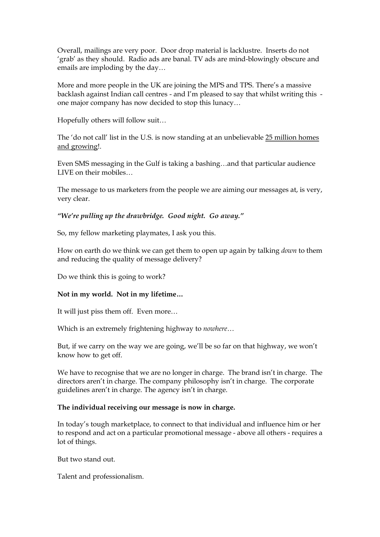Overall, mailings are very poor. Door drop material is lacklustre. Inserts do not 'grab' as they should. Radio ads are banal. TV ads are mind-blowingly obscure and emails are imploding by the day...<br>More and more people in the UK are joining the MPS and TPS. There's a massive

backlash against Indian call centres - and I'm pleased to say that whilst writing this one major company has now decided to stop this lunacy… Hopefully others will follow suit…

The 'do not call' list in the U.S. is now standing at an unbelievable 25 million homes and growing!.

Even SMS messaging in the Gulf is taking a bashing…and that particular audience LIVE on their mobiles…

The message to us marketers from the people we are aiming our messages at, is very, very clear.

## *"We're pulling up the drawbridge. Good night. Go away."*

So, my fellow marketing playmates, I ask you this.

How on earth do we think we can get them to open up again by talking *down* to them and reducing the quality of message delivery?

Do we think this is going to work?

## **Not in my world. Not in my lifetime…**

It will just piss them off. Even more… Which is an extremely frightening highway to *nowhere*…

But, if we carry on the way we are going, we'll be so far on that highway, we won't know how to get off.

We have to recognise that we are no longer in charge. The brand isn't in charge. The directors aren't in charge. The company philosophy isn't in charge. The corporate guidelines aren't in charge. The agency isn't in charge.

#### **The individual receiving our message is now in charge.**

In today's tough marketplace, to connect to that individual and influence him or her to respond and act on a particular promotional message - above all others - requires a lot of things.

But two stand out.

Talent and professionalism.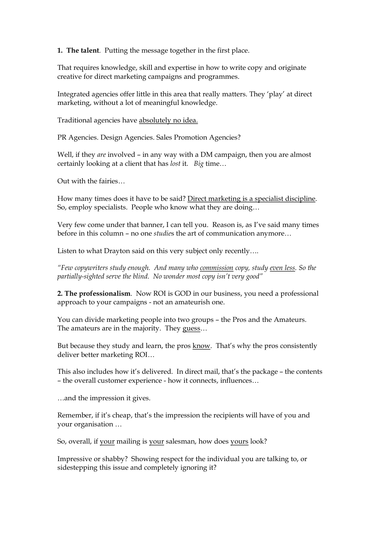**1. The talent**. Putting the message together in the first place.

That requires knowledge, skill and expertise in how to write copy and originate creative for direct marketing campaigns and programmes.

Integrated agencies offer little in this area that really matters. They 'play' at direct marketing, without a lot of meaningful knowledge.

Traditional agencies have absolutely no idea.

PR Agencies. Design Agencies. Sales Promotion Agencies?

Well, if they *are* involved – in any way with a DM campaign, then you are almost certainly looking at a client that has *lost* it. *Big* time…

Out with the fairies...<br>How many times does it have to be said? Direct marketing is a specialist discipline. So, employ specialists. People who know what they are doing…

Very few come under that banner, I can tell you. Reason is, as I've said many times before in this column – no one *studie*s the art of communication anymore…

Listen to what Drayton said on this very subject only recently….

*"Few copywriters study enough. And many who commission copy, study even less. So the partiallysighted serve the blind. No wonder most copy isn't very good"*

**2. The professionalism**. Now ROI is GOD in our business, you need a professional approach to your campaigns - not an amateurish one.

You can divide marketing people into two groups – the Pros and the Amateurs. The amateurs are in the majority. They guess…

But because they study and learn, the pros know. That's why the pros consistently deliver better marketing ROI…

This also includes how it's delivered. In direct mail, that's the package – the contents – the overall customer experience how it connects, influences… …and the impression it gives.

Remember, if it's cheap, that's the impression the recipients will have of you and your organisation …

So, overall, if your mailing is your salesman, how does yours look?

Impressive or shabby? Showing respect for the individual you are talking to, or sidestepping this issue and completely ignoring it?